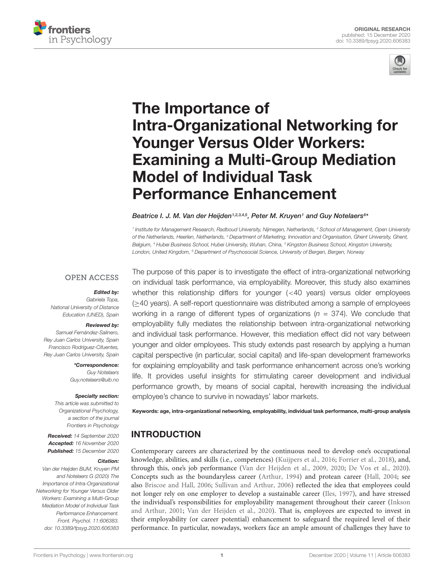



# The Importance of [Intra-Organizational Networking for](https://www.frontiersin.org/articles/10.3389/fpsyg.2020.606383/full) Younger Versus Older Workers: Examining a Multi-Group Mediation Model of Individual Task Performance Enhancement

#### Beatrice I. J. M. Van der Heijden<sup>1,2,3,4,5</sup>, Peter M. Kruyen<sup>1</sup> and Guy Notelaers<sup>6</sup>\*

<sup>1</sup> Institute for Management Research, Radboud University, Nijmegen, Netherlands, <sup>2</sup> School of Management, Open University of the Netherlands, Heerlen, Netherlands, <sup>3</sup> Department of Marketing, Innovation and Organisation, Ghent University, Ghent, Belgium, <sup>4</sup> Hubei Business School, Hubei University, Wuhan, China, <sup>5</sup> Kingston Business School, Kingston University, London, United Kingdom, <sup>6</sup> Department of Psychosocial Science, University of Bergen, Bergen, Norway

### **OPEN ACCESS**

#### Edited by:

Gabriela Topa, National University of Distance Education (UNED), Spain

#### Reviewed by:

Samuel Fernández-Salinero, Rey Juan Carlos University, Spain Francisco Rodríguez-Cifuentes, Rey Juan Carlos University, Spain

> \*Correspondence: Guy Notelaers Guy.notelaers@uib.no

#### Specialty section:

This article was submitted to Organizational Psychology, a section of the journal Frontiers in Psychology

Received: 14 September 2020 Accepted: 16 November 2020 Published: 15 December 2020

#### Citation:

Van der Heijden BIJM, Kruyen PM and Notelaers G (2020) The Importance of Intra-Organizational Networking for Younger Versus Older Workers: Examining a Multi-Group Mediation Model of Individual Task Performance Enhancement. Front. Psychol. 11:606383. doi: [10.3389/fpsyg.2020.606383](https://doi.org/10.3389/fpsyg.2020.606383)

The purpose of this paper is to investigate the effect of intra-organizational networking on individual task performance, via employability. Moreover, this study also examines whether this relationship differs for younger (<40 years) versus older employees (≥40 years). A self-report questionnaire was distributed among a sample of employees working in a range of different types of organizations ( $n = 374$ ). We conclude that employability fully mediates the relationship between intra-organizational networking and individual task performance. However, this mediation effect did not vary between younger and older employees. This study extends past research by applying a human capital perspective (in particular, social capital) and life-span development frameworks for explaining employability and task performance enhancement across one's working life. It provides useful insights for stimulating career development and individual performance growth, by means of social capital, herewith increasing the individual employee's chance to survive in nowadays' labor markets.

Keywords: age, intra-organizational networking, employability, individual task performance, multi-group analysis

# **INTRODUCTION**

Contemporary careers are characterized by the continuous need to develop one's occupational knowledge, abilities, and skills (i.e., competences) [\(Kuijpers et al.,](#page-10-0) [2016;](#page-10-0) [Forrier et al.,](#page-10-1) [2018\)](#page-10-1), and, through this, one's job performance [\(Van der Heijden et al.,](#page-12-0) [2009,](#page-12-0) [2020;](#page-12-1) [De Vos et al.,](#page-10-2) [2020\)](#page-10-2). Concepts such as the boundaryless career [\(Arthur,](#page-9-0) [1994\)](#page-9-0) and protean career [\(Hall,](#page-10-3) [2004;](#page-10-3) see also [Briscoe and Hall,](#page-9-1) [2006;](#page-9-1) [Sullivan and Arthur,](#page-11-0) [2006\)](#page-11-0) reflected the idea that employees could not longer rely on one employer to develop a sustainable career [\(Iles,](#page-10-4) [1997\)](#page-10-4), and have stressed the individual's responsibilities for employability management throughout their career [\(Inkson](#page-10-5) [and Arthur,](#page-10-5) [2001;](#page-10-5) [Van der Heijden et al.,](#page-12-1) [2020\)](#page-12-1). That is, employees are expected to invest in their employability (or career potential) enhancement to safeguard the required level of their performance. In particular, nowadays, workers face an ample amount of challenges they have to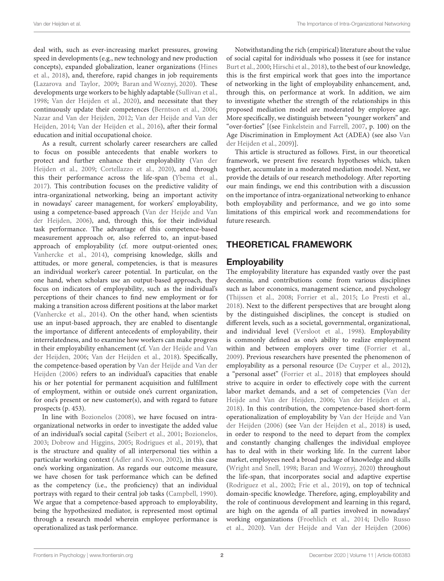deal with, such as ever-increasing market pressures, growing speed in developments (e.g., new technology and new production concepts), expanded globalization, leaner organizations [\(Hines](#page-10-6) [et al.,](#page-10-6) [2018\)](#page-10-6), and, therefore, rapid changes in job requirements [\(Lazarova and Taylor,](#page-11-1) [2009;](#page-11-1) [Baran and Woznyj,](#page-9-2) [2020\)](#page-9-2). These developments urge workers to be highly adaptable [\(Sullivan et al.,](#page-11-2) [1998;](#page-11-2) [Van der Heijden et al.,](#page-12-1) [2020\)](#page-12-1), and necessitate that they continuously update their competences [\(Berntson et al.,](#page-9-3) [2006;](#page-9-3) [Nazar and Van der Heijden,](#page-11-3) [2012;](#page-11-3) [Van der Heijde and Van der](#page-12-2) [Heijden,](#page-12-2) [2014;](#page-12-2) [Van der Heijden et al.,](#page-12-3) [2016\)](#page-12-3), after their formal education and initial occupational choice.

As a result, current scholarly career researchers are called to focus on possible antecedents that enable workers to protect and further enhance their employability [\(Van der](#page-12-0) [Heijden et al.,](#page-12-0) [2009;](#page-12-0) [Cortellazzo et al.,](#page-9-4) [2020\)](#page-9-4), and through this their performance across the life-span [\(Ybema et al.,](#page-12-4) [2017\)](#page-12-4). This contribution focuses on the predictive validity of intra-organizational networking, being an important activity in nowadays' career management, for workers' employability, using a competence-based approach [\(Van der Heijde and Van](#page-12-5) [der Heijden,](#page-12-5) [2006\)](#page-12-5), and, through this, for their individual task performance. The advantage of this competence-based measurement approach or, also referred to, an input-based approach of employability (cf. more output-oriented ones; [Vanhercke et al.,](#page-12-6) [2014\)](#page-12-6), comprising knowledge, skills and attitudes, or more general, competencies, is that is measures an individual worker's career potential. In particular, on the one hand, when scholars use an output-based approach, they focus on indicators of employability, such as the individual's perceptions of their chances to find new employment or for making a transition across different positions at the labor market [\(Vanhercke et al.,](#page-12-6) [2014\)](#page-12-6). On the other hand, when scientists use an input-based approach, they are enabled to disentangle the importance of different antecedents of employability, their interrelatedness, and to examine how workers can make progress in their employability enhancement (cf. [Van der Heijde and Van](#page-12-5) [der Heijden,](#page-12-5) [2006;](#page-12-5) [Van der Heijden et al.,](#page-12-7) [2018\)](#page-12-7). Specifically, the competence-based operation by [Van der Heijde and Van der](#page-12-5) [Heijden](#page-12-5) [\(2006\)](#page-12-5) refers to an individual's capacities that enable his or her potential for permanent acquisition and fulfillment of employment, within or outside one's current organization, for one's present or new customer(s), and with regard to future prospects (p. 453).

In line with [Bozionelos](#page-9-5) [\(2008\)](#page-9-5), we have focused on intraorganizational networks in order to investigate the added value of an individual's social capital [\(Seibert et al.,](#page-11-4) [2001;](#page-11-4) [Bozionelos,](#page-9-6) [2003;](#page-9-6) [Dobrow and Higgins,](#page-10-7) [2005;](#page-10-7) [Rodrigues et al.,](#page-11-5) [2019\)](#page-11-5), that is the structure and quality of all interpersonal ties within a particular working context [\(Adler and Kwon,](#page-9-7) [2002\)](#page-9-7), in this case one's working organization. As regards our outcome measure, we have chosen for task performance which can be defined as the competency (i.e., the proficiency) that an individual portrays with regard to their central job tasks [\(Campbell,](#page-9-8) [1990\)](#page-9-8). We argue that a competence-based approach to employability, being the hypothesized mediator, is represented most optimal through a research model wherein employee performance is operationalized as task performance.

Notwithstanding the rich (empirical) literature about the value of social capital for individuals who possess it (see for instance [Burt et al.,](#page-9-9) [2000;](#page-9-9) [Hirschi et al.,](#page-10-8) [2018\)](#page-10-8), to the best of our knowledge, this is the first empirical work that goes into the importance of networking in the light of employability enhancement, and, through this, on performance at work. In addition, we aim to investigate whether the strength of the relationships in this proposed mediation model are moderated by employee age. More specifically, we distinguish between "younger workers" and "over-forties" [(see [Finkelstein and Farrell,](#page-10-9) [2007,](#page-10-9) p. 100) on the Age Discrimination in Employment Act (ADEA) (see also [Van](#page-12-0) [der Heijden et al.,](#page-12-0) [2009\)](#page-12-0)].

This article is structured as follows. First, in our theoretical framework, we present five research hypotheses which, taken together, accumulate in a moderated mediation model. Next, we provide the details of our research methodology. After reporting our main findings, we end this contribution with a discussion on the importance of intra-organizational networking to enhance both employability and performance, and we go into some limitations of this empirical work and recommendations for future research.

# THEORETICAL FRAMEWORK

# **Employability**

The employability literature has expanded vastly over the past decennia, and contributions come from various disciplines such as labor economics, management science, and psychology [\(Thijssen et al.,](#page-11-6) [2008;](#page-11-6) [Forrier et al.,](#page-10-10) [2015;](#page-10-10) [Lo Presti et al.,](#page-11-7) [2018\)](#page-11-7). Next to the different perspectives that are brought along by the distinguished disciplines, the concept is studied on different levels, such as a societal, governmental, organizational, and individual level [\(Versloot et al.,](#page-12-8) [1998\)](#page-12-8). Employability is commonly defined as one's ability to realize employment within and between employers over time [\(Forrier et al.,](#page-10-11) [2009\)](#page-10-11). Previous researchers have presented the phenomenon of employability as a personal resource [\(De Cuyper et al.,](#page-10-12) [2012\)](#page-10-12), a "personal asset" [\(Forrier et al.,](#page-10-1) [2018\)](#page-10-1) that employees should strive to acquire in order to effectively cope with the current labor market demands, and a set of competencies [\(Van der](#page-12-5) [Heijde and Van der Heijden,](#page-12-5) [2006;](#page-12-5) [Van der Heijden et al.,](#page-12-7) [2018\)](#page-12-7). In this contribution, the competence-based short-form operationalization of employability by [Van der Heijde and Van](#page-12-5) [der Heijden](#page-12-5) [\(2006\)](#page-12-5) (see [Van der Heijden et al.,](#page-12-7) [2018\)](#page-12-7) is used, in order to respond to the need to depart from the complex and constantly changing challenges the individual employee has to deal with in their working life. In the current labor market, employees need a broad package of knowledge and skills [\(Wright and Snell,](#page-12-9) [1998;](#page-12-9) [Baran and Woznyj,](#page-9-2) [2020\)](#page-9-2) throughout the life-span, that incorporates social and adaptive expertise [\(Rodriguez et al.,](#page-11-8) [2002;](#page-11-8) [Frie et al.,](#page-10-13) [2019\)](#page-10-13), on top of technical domain-specific knowledge. Therefore, aging, employability and the role of continuous development and learning in this regard, are high on the agenda of all parties involved in nowadays' working organizations [\(Froehlich et al.,](#page-10-14) [2014;](#page-10-14) [Dello Russo](#page-10-15) [et al.,](#page-10-15) [2020\)](#page-10-15). [Van der Heijde and Van der Heijden](#page-12-5) [\(2006\)](#page-12-5)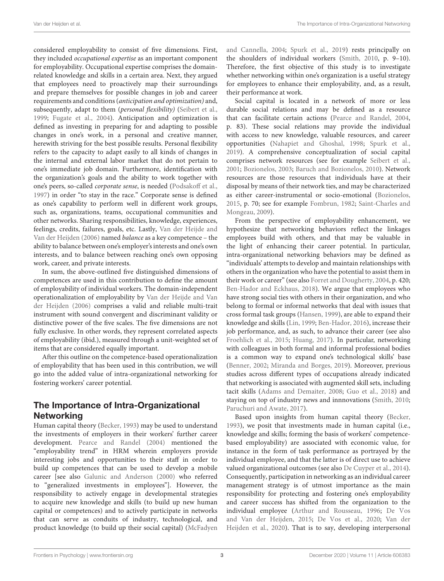considered employability to consist of five dimensions. First, they included occupational expertise as an important component for employability. Occupational expertise comprises the domainrelated knowledge and skills in a certain area. Next, they argued that employees need to proactively map their surroundings and prepare themselves for possible changes in job and career requirements and conditions (anticipation and optimization) and, subsequently, adapt to them (personal flexibility) [\(Seibert et al.,](#page-11-9) [1999;](#page-11-9) [Fugate et al.,](#page-10-16) [2004\)](#page-10-16). Anticipation and optimization is defined as investing in preparing for and adapting to possible changes in one's work, in a personal and creative manner, herewith striving for the best possible results. Personal flexibility refers to the capacity to adapt easily to all kinds of changes in the internal and external labor market that do not pertain to one's immediate job domain. Furthermore, identification with the organization's goals and the ability to work together with one's peers, so-called corporate sense, is needed [\(Podsakoff et al.,](#page-11-10) [1997\)](#page-11-10) in order "to stay in the race." Corporate sense is defined as one's capability to perform well in different work groups, such as, organizations, teams, occupational communities and other networks. Sharing responsibilities, knowledge, experiences, feelings, credits, failures, goals, etc. Lastly, [Van der Heijde and](#page-12-5) [Van der Heijden](#page-12-5) [\(2006\)](#page-12-5) named balance as a key competence – the ability to balance between one's employer's interests and one's own interests, and to balance between reaching one's own opposing work, career, and private interests.

In sum, the above-outlined five distinguished dimensions of competences are used in this contribution to define the amount of employability of individual workers. The domain-independent operationalization of employability by [Van der Heijde and Van](#page-12-5) [der Heijden](#page-12-5) [\(2006\)](#page-12-5) comprises a valid and reliable multi-trait instrument with sound convergent and discriminant validity or distinctive power of the five scales. The five dimensions are not fully exclusive. In other words, they represent correlated aspects of employability (ibid.), measured through a unit-weighted set of items that are considered equally important.

After this outline on the competence-based operationalization of employability that has been used in this contribution, we will go into the added value of intra-organizational networking for fostering workers' career potential.

# The Importance of Intra-Organizational Networking

Human capital theory [\(Becker,](#page-9-10) [1993\)](#page-9-10) may be used to understand the investments of employers in their workers' further career development. [Pearce and Randel](#page-11-11) [\(2004\)](#page-11-11) mentioned the "employability trend" in HRM wherein employers provide interesting jobs and opportunities to their staff in order to build up competences that can be used to develop a mobile career [see also [Galunic and Anderson](#page-10-17) [\(2000\)](#page-10-17) who referred to "generalized investments in employees"]. However, the responsibility to actively engage in developmental strategies to acquire new knowledge and skills (to build up new human capital or competences) and to actively participate in networks that can serve as conduits of industry, technological, and product knowledge (to build up their social capital) [\(McFadyen](#page-11-12) [and Cannella,](#page-11-12) [2004;](#page-11-12) [Spurk et al.,](#page-11-13) [2019\)](#page-11-13) rests principally on the shoulders of individual workers [\(Smith,](#page-11-14) [2010,](#page-11-14) p. 9–10). Therefore, the first objective of this study is to investigate whether networking within one's organization is a useful strategy for employees to enhance their employability, and, as a result, their performance at work.

Social capital is located in a network of more or less durable social relations and may be defined as a resource that can facilitate certain actions [\(Pearce and Randel,](#page-11-11) [2004,](#page-11-11) p. 83). These social relations may provide the individual with access to new knowledge, valuable resources, and career opportunities [\(Nahapiet and Ghoshal,](#page-11-15) [1998;](#page-11-15) [Spurk et al.,](#page-11-13) [2019\)](#page-11-13). A comprehensive conceptualization of social capital comprises network resources (see for example [Seibert et al.,](#page-11-4) [2001;](#page-11-4) [Bozionelos,](#page-9-6) [2003;](#page-9-6) [Baruch and Bozionelos,](#page-9-11) [2010\)](#page-9-11). Network resources are those resources that individuals have at their disposal by means of their network ties, and may be characterized as either career-instrumental or socio-emotional [\(Bozionelos,](#page-9-12) [2015,](#page-9-12) p. 70; see for example [Fombrun,](#page-10-18) [1982;](#page-10-18) [Saint-Charles and](#page-11-16) [Mongeau,](#page-11-16) [2009\)](#page-11-16).

From the perspective of employability enhancement, we hypothesize that networking behaviors reflect the linkages employees build with others, and that may be valuable in the light of enhancing their career potential. In particular, intra-organizational networking behaviors may be defined as "individuals' attempts to develop and maintain relationships with others in the organization who have the potential to assist them in their work or career" (see also [Forret and Dougherty,](#page-10-19) [2004,](#page-10-19) p. 420; [Ben-Hador and Eckhaus,](#page-9-13) [2018\)](#page-9-13). We argue that employees who have strong social ties with others in their organization, and who belong to formal or informal networks that deal with issues that cross formal task groups [\(Hansen,](#page-10-20) [1999\)](#page-10-20), are able to expand their knowledge and skills [\(Lin,](#page-11-17) [1999;](#page-11-17) [Ben-Hador,](#page-9-14) [2016\)](#page-9-14), increase their job performance, and, as such, to advance their career (see also [Froehlich et al.,](#page-10-21) [2015;](#page-10-21) [Huang,](#page-10-22) [2017\)](#page-10-22). In particular, networking with colleagues in both formal and informal professional bodies is a common way to expand one's technological skills' base [\(Benner,](#page-9-15) [2002;](#page-9-15) [Miranda and Borges,](#page-11-18) [2019\)](#page-11-18). Moreover, previous studies across different types of occupations already indicated that networking is associated with augmented skill sets, including tacit skills [\(Adams and Demaiter,](#page-9-16) [2008;](#page-9-16) [Guo et al.,](#page-10-23) [2018\)](#page-10-23) and staying on top of industry news and innnovations [\(Smith,](#page-11-14) [2010;](#page-11-14) [Paruchuri and Awate,](#page-11-19) [2017\)](#page-11-19).

Based upon insights from human capital theory [\(Becker,](#page-9-10) [1993\)](#page-9-10), we posit that investments made in human capital (i.e., knowledge and skills; forming the basis of workers' competencebased employability) are associated with economic value, for instance in the form of task performance as portrayed by the individual employee, and that the latter is of direct use to achieve valued organizational outcomes (see also [De Cuyper et al.,](#page-10-24) [2014\)](#page-10-24). Consequently, participation in networking as an individual career management strategy is of utmost importance as the main responsibility for protecting and fostering one's employability and career success has shifted from the organization to the individual employee [\(Arthur and Rousseau,](#page-9-17) [1996;](#page-9-17) [De Vos](#page-10-25) [and Van der Heijden,](#page-10-25) [2015;](#page-10-25) [De Vos et al.,](#page-10-2) [2020;](#page-10-2) [Van der](#page-12-1) [Heijden et al.,](#page-12-1) [2020\)](#page-12-1). That is to say, developing interpersonal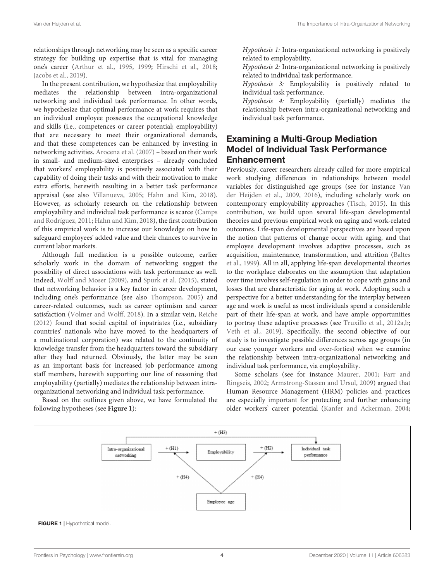relationships through networking may be seen as a specific career strategy for building up expertise that is vital for managing one's career [\(Arthur et al.,](#page-9-18) [1995,](#page-9-18) [1999;](#page-9-19) [Hirschi et al.,](#page-10-8) [2018;](#page-10-8) [Jacobs et al.,](#page-10-26) [2019\)](#page-10-26).

In the present contribution, we hypothesize that employability mediates the relationship between intra-organizational networking and individual task performance. In other words, we hypothesize that optimal performance at work requires that an individual employee possesses the occupational knowledge and skills (i.e., competences or career potential; employability) that are necessary to meet their organizational demands, and that these competences can be enhanced by investing in networking activities. [Arocena et al.](#page-9-20) [\(2007\)](#page-9-20) – based on their work in small- and medium-sized enterprises – already concluded that workers' employability is positively associated with their capability of doing their tasks and with their motivation to make extra efforts, herewith resulting in a better task performance appraisal (see also [Villanueva,](#page-12-10) [2005;](#page-12-10) [Hahn and Kim,](#page-10-27) [2018\)](#page-10-27). However, as scholarly research on the relationship between employability and individual task performance is scarce [\(Camps](#page-9-21) [and Rodríguez,](#page-9-21) [2011;](#page-9-21) [Hahn and Kim,](#page-10-27) [2018\)](#page-10-27), the first contribution of this empirical work is to increase our knowledge on how to safeguard employees' added value and their chances to survive in current labor markets.

Although full mediation is a possible outcome, earlier scholarly work in the domain of networking suggest the possibility of direct associations with task performance as well. Indeed, [Wolff and Moser](#page-12-11) [\(2009\)](#page-12-11), and [Spurk et al.](#page-11-20) [\(2015\)](#page-11-20), stated that networking behavior is a key factor in career development, including one's performance (see also [Thompson,](#page-11-21) [2005\)](#page-11-21) and career-related outcomes, such as career optimism and career satisfaction [\(Volmer and Wolff,](#page-12-12) [2018\)](#page-12-12). In a similar vein, [Reiche](#page-11-22) [\(2012\)](#page-11-22) found that social capital of inpatriates (i.e., subsidiary countries' nationals who have moved to the headquarters of a multinational corporation) was related to the continuity of knowledge transfer from the headquarters toward the subsidiary after they had returned. Obviously, the latter may be seen as an important basis for increased job performance among staff members, herewith supporting our line of reasoning that employability (partially) mediates the relationship between intraorganizational networking and individual task performance.

Based on the outlines given above, we have formulated the following hypotheses (see **[Figure 1](#page-3-0)**):

Hypothesis 1: Intra-organizational networking is positively related to employability.

Hypothesis 2: Intra-organizational networking is positively related to individual task performance.

Hypothesis 3: Employability is positively related to individual task performance.

Hypothesis 4: Employability (partially) mediates the relationship between intra-organizational networking and individual task performance.

# Examining a Multi-Group Mediation Model of Individual Task Performance Enhancement

Previously, career researchers already called for more empirical work studying differences in relationships between model variables for distinguished age groups (see for instance [Van](#page-12-0) [der Heijden et al.,](#page-12-0) [2009,](#page-12-0) [2016\)](#page-12-3), including scholarly work on contemporary employability approaches [\(Tisch,](#page-11-23) [2015\)](#page-11-23). In this contribution, we build upon several life-span developmental theories and previous empirical work on aging and work-related outcomes. Life-span developmental perspectives are based upon the notion that patterns of change occur with aging, and that employee development involves adaptive processes, such as acquisition, maintenance, transformation, and attrition [\(Baltes](#page-9-22) [et al.,](#page-9-22) [1999\)](#page-9-22). All in all, applying life-span developmental theories to the workplace elaborates on the assumption that adaptation over time involves self-regulation in order to cope with gains and losses that are characteristic for aging at work. Adopting such a perspective for a better understanding for the interplay between age and work is useful as most individuals spend a considerable part of their life-span at work, and have ample opportunities to portray these adaptive processes (see [Truxillo et al.,](#page-11-24) [2012a](#page-11-24)[,b;](#page-11-25) [Veth et al.,](#page-12-13) [2019\)](#page-12-13). Specifically, the second objective of our study is to investigate possible differences across age groups (in our case younger workers and over-forties) when we examine the relationship between intra-organizational networking and individual task performance, via employability.

Some scholars (see for instance [Maurer,](#page-11-26) [2001;](#page-11-26) [Farr and](#page-10-28) [Ringseis,](#page-10-28) [2002;](#page-10-28) [Armstrong-Stassen and Ursul,](#page-9-23) [2009\)](#page-9-23) argued that Human Resource Management (HRM) policies and practices are especially important for protecting and further enhancing older workers' career potential [\(Kanfer and Ackerman,](#page-10-29) [2004;](#page-10-29)

<span id="page-3-0"></span>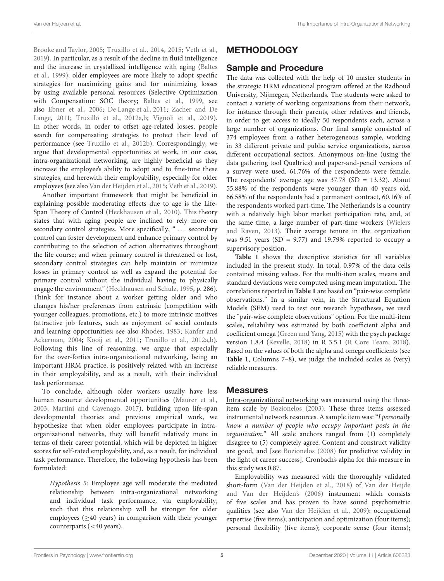[Brooke and Taylor,](#page-9-24) [2005;](#page-9-24) [Truxillo et al.,](#page-12-14) [2014,](#page-12-14) [2015;](#page-11-27) [Veth et al.,](#page-12-13) [2019\)](#page-12-13). In particular, as a result of the decline in fluid intelligence and the increase in crystallized intelligence with aging [\(Baltes](#page-9-22) [et al.,](#page-9-22) [1999\)](#page-9-22), older employees are more likely to adopt specific strategies for maximizing gains and for minimizing losses by using available personal resources (Selective Optimization with Compensation: SOC theory; [Baltes et al.,](#page-9-22) [1999,](#page-9-22) see also [Ebner et al.,](#page-10-30) [2006;](#page-10-30) [De Lange et al.,](#page-10-31) [2011;](#page-10-31) [Zacher and De](#page-12-15) [Lange,](#page-12-15) [2011;](#page-12-15) [Truxillo et al.,](#page-11-24) [2012a](#page-11-24)[,b;](#page-11-25) [Vignoli et al.,](#page-12-16) [2019\)](#page-12-16). In other words, in order to offset age-related losses, people search for compensating strategies to protect their level of performance (see [Truxillo et al.,](#page-11-25) [2012b\)](#page-11-25). Correspondingly, we argue that developmental opportunities at work, in our case, intra-organizational networking, are highly beneficial as they increase the employee's ability to adopt and to fine-tune these strategies, and herewith their employability, especially for older employees (see also [Van der Heijden et al.,](#page-12-17) [2015;](#page-12-17) [Veth et al.,](#page-12-13) [2019\)](#page-12-13).

Another important framework that might be beneficial in explaining possible moderating effects due to age is the Life-Span Theory of Control [\(Heckhausen et al.,](#page-10-32) [2010\)](#page-10-32). This theory states that with aging people are inclined to rely more on secondary control strategies. More specifically, " ... secondary control can foster development and enhance primary control by contributing to the selection of action alternatives throughout the life course; and when primary control is threatened or lost, secondary control strategies can help maintain or minimize losses in primary control as well as expand the potential for primary control without the individual having to physically engage the environment" [\(Heckhausen and Schulz,](#page-10-33) [1995,](#page-10-33) p. 286). Think for instance about a worker getting older and who changes his/her preferences from extrinsic (competition with younger colleagues, promotions, etc.) to more intrinsic motives (attractive job features, such as enjoyment of social contacts and learning opportunities; see also [Rhodes,](#page-11-28) [1983;](#page-11-28) [Kanfer and](#page-10-29) [Ackerman,](#page-10-29) [2004;](#page-10-29) [Kooij et al.,](#page-10-34) [2011;](#page-10-34) [Truxillo et al.,](#page-11-24) [2012a](#page-11-24)[,b\)](#page-11-25). Following this line of reasoning, we argue that especially for the over-forties intra-organizational networking, being an important HRM practice, is positively related with an increase in their employability, and as a result, with their individual task performance.

To conclude, although older workers usually have less human resource developmental opportunities [\(Maurer et al.,](#page-11-29) [2003;](#page-11-29) [Martini and Cavenago,](#page-11-30) [2017\)](#page-11-30), building upon life-span developmental theories and previous empirical work, we hypothesize that when older employees participate in intraorganizational networks, they will benefit relatively more in terms of their career potential, which will be depicted in higher scores for self-rated employability, and, as a result, for individual task performance. Therefore, the following hypothesis has been formulated:

Hypothesis 5: Employee age will moderate the mediated relationship between intra-organizational networking and individual task performance, via employability, such that this relationship will be stronger for older employees ( $\geq$ 40 years) in comparison with their younger counterparts (<40 years).

# **METHODOLOGY**

### Sample and Procedure

The data was collected with the help of 10 master students in the strategic HRM educational program offered at the Radboud University, Nijmegen, Netherlands. The students were asked to contact a variety of working organizations from their network, for instance through their parents, other relatives and friends, in order to get access to ideally 50 respondents each, across a large number of organizations. Our final sample consisted of 374 employees from a rather heterogeneous sample, working in 33 different private and public service organizations, across different occupational sectors. Anonymous on-line (using the data gathering tool Qualtrics) and paper-and-pencil versions of a survey were used. 61.76% of the respondents were female. The respondents' average age was  $37.78$  (SD = 13.32). About 55.88% of the respondents were younger than 40 years old. 66.58% of the respondents had a permanent contract, 60.16% of the respondents worked part-time. The Netherlands is a country with a relatively high labor market participation rate, and, at the same time, a large number of part-time workers [\(Wielers](#page-12-18) [and Raven,](#page-12-18) [2013\)](#page-12-18). Their average tenure in the organization was 9.51 years (SD = 9.77) and 19.79% reported to occupy a supervisory position.

**[Table 1](#page-5-0)** shows the descriptive statistics for all variables included in the present study. In total, 0.97% of the data cells contained missing values. For the multi-item scales, means and standard deviations were computed using mean imputation. The correlations reported in **[Table 1](#page-5-0)** are based on "pair-wise complete observations." In a similar vein, in the Structural Equation Models (SEM) used to test our research hypotheses, we used the "pair-wise complete observations" option. For the multi-item scales, reliability was estimated by both coefficient alpha and coefficient omega [\(Green and Yang,](#page-10-35) [2015\)](#page-10-35) with the psych package version 1.8.4 [\(Revelle,](#page-11-31) [2018\)](#page-11-31) in R 3.5.1 [\(R Core Team,](#page-11-32) [2018\)](#page-11-32). Based on the values of both the alpha and omega coefficients (see **[Table 1](#page-5-0)**, Columns 7–8), we judge the included scales as (very) reliable measures.

#### Measures

Intra-organizational networking was measured using the threeitem scale by [Bozionelos](#page-9-6) [\(2003\)](#page-9-6). These three items assessed instrumental network resources. A sample item was: "I personally know a number of people who occupy important posts in the organization." All scale anchors ranged from (1) completely disagree to (5) completely agree. Content and construct validity are good, and [see [Bozionelos](#page-9-5) [\(2008\)](#page-9-5) for predictive validity in the light of career success]. Cronbach's alpha for this measure in this study was 0.87.

Employability was measured with the thoroughly validated short-form [\(Van der Heijden et al.,](#page-12-7) [2018\)](#page-12-7) of [Van der Heijde](#page-12-5) [and Van der Heijden'](#page-12-5)s [\(2006\)](#page-12-5) instrument which consists of five scales and has proven to have sound psychometric qualities (see also [Van der Heijden et al.,](#page-12-0) [2009\)](#page-12-0): occupational expertise (five items); anticipation and optimization (four items); personal flexibility (five items); corporate sense (four items);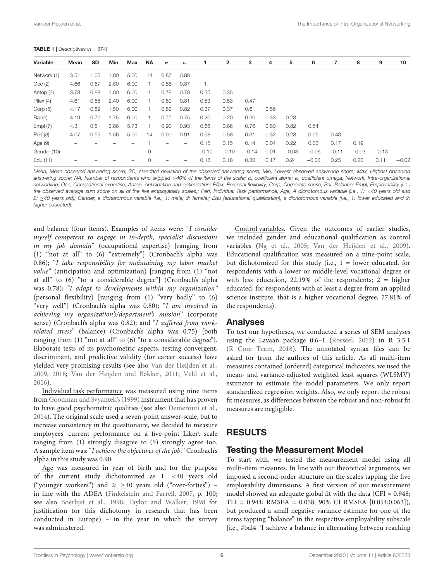#### <span id="page-5-0"></span>**TABLE 1** | Descriptives  $(n = 374)$ .

| Variable       | Mean                     | SD   | <b>Min</b> | Max  | ΝA | $\alpha$          | $\omega$                 |         | 2       | 3       | 4    | 5       | 6       | 7       | 8       | 9       | 10      |
|----------------|--------------------------|------|------------|------|----|-------------------|--------------------------|---------|---------|---------|------|---------|---------|---------|---------|---------|---------|
| Network (1)    | 3.51                     | 1.05 | 1.00       | 5.00 | 14 | 0.87              | 0.88                     |         |         |         |      |         |         |         |         |         |         |
| Occ(2)         | 4.66                     | 0.57 | 2.80       | 6.00 |    | 0.86              | 0.87                     |         |         |         |      |         |         |         |         |         |         |
| Antop (3)      | 3.78                     | 0.88 | 1.00       | 6.00 |    | 0.78              | 0.78                     | 0.35    | 0.35    |         |      |         |         |         |         |         |         |
| Pflex(4)       | 4.61                     | 0.58 | 2.40       | 6.00 |    | 0.80              | 0.81                     | 0.53    | 0.53    | 0.47    |      |         |         |         |         |         |         |
| Corp $(5)$     | 4.17                     | 0.89 | 1.50       | 6.00 | 1. | 0.82              | 0.82                     | 0.37    | 0.37    | 0.61    | 0.56 |         |         |         |         |         |         |
| <b>Bal</b> (6) | 4.19                     | 0.70 | 1.75       | 6.00 |    | 0.75              | 0.75                     | 0.20    | 0.20    | 0.20    | 0.33 | 0.28    |         |         |         |         |         |
| Empl $(7)$     | 4.31                     | 0.51 | 2.86       | 5.73 |    | 0.90              | 0.93                     | 0.66    | 0.66    | 0.76    | 0.80 | 0.82    | 0.54    |         |         |         |         |
| Perf (8)       | 4.07                     | 0.55 | 1.56       | 5.00 | 14 | 0.90              | 0.91                     | 0.58    | 0.58    | 0.31    | 0.32 | 0.28    | 0.05    | 0.43    |         |         |         |
| Age $(9)$      | -                        |      |            |      |    | -                 | $\overline{\phantom{m}}$ | 0.15    | 0.15    | 0.14    | 0.04 | 0.22    | 0.03    | 0.17    | 0.19    |         |         |
| Gender (10)    | $\overline{\phantom{m}}$ |      |            |      | 0  | $\qquad \qquad -$ | -                        | $-0.10$ | $-0.10$ | $-0.14$ | 0.01 | $-0.08$ | $-0.06$ | $-0.11$ | $-0.03$ | $-0.13$ |         |
| Edu (11)       | -                        |      |            |      | 0  | $\qquad \qquad -$ | $\qquad \qquad -$        | 0.18    | 0.18    | 0.30    | 0.17 | 0.24    | $-0.03$ | 0.25    | 0.20    | 0.11    | $-0.02$ |

Mean, Mean observed answering score; SD, standard deviation of the observed answering score; Min, Lowest observed answering score; Max, Highest observed answering score; NA, Number of respondents who skipped >40% of the items of the scale; α, coefficient alpha; ω, coefficient omega; Network, Intra-organizational networking; Occ, Occupational expertise; Antop, Anticipation and optimization; Pflex, Personal flexibility; Corp, Corporate sense; Bal, Balance; Empl, Employability (i.e., the observed average sum score on all of the five employability scales); Perf, Individual Task performance; Age, A dichotomous variable (i.e., 1: <40 years old and 2: ≥40 years old); Gender, a dichotomous variable (i.e., 1: male; 2: female); Edu (educational qualification), a dichotomous variable (i.e., 1: lower educated and 2: higher educated).

and balance (four items). Examples of items were: "I consider myself competent to engage in in-depth, specialist discussions in my job domain" (occupational expertise) [ranging from (1) "not at all" to (6) "extremely"] (Cronbach's alpha was 0.86); "I take responsibility for maintaining my labor market value" (anticipation and optimization) [ranging from (1) "not at all" to (6) "to a considerable degree"] (Cronbach's alpha was 0.78); "I adapt to developments within my organization" (personal flexibility) [ranging from (1) "very badly" to (6) "very well"] (Cronbach's alpha was 0.80); "I am involved in achieving my organization's/department's mission" (corporate sense) (Cronbach's alpha was 0.82); and "I suffered from workrelated stress" (balance) (Cronbach's alpha was 0.75) [both ranging from (1) "not at all" to (6) "to a considerable degree"]. Elaborate tests of its psychometric aspects, testing convergent, discriminant, and predictive validity (for career success) have yielded very promising results (see also [Van der Heijden et al.,](#page-12-0) [2009,](#page-12-0) [2018;](#page-12-7) [Van der Heijden and Bakker,](#page-12-19) [2011;](#page-12-19) [Veld et al.,](#page-12-20) [2016\)](#page-12-20).

Individual task performance was measured using nine items from [Goodman and Svyantek'](#page-10-36)s [\(1999\)](#page-10-36) instrument that has proven to have good psychometric qualities (see also [Demerouti et al.,](#page-10-37) [2014\)](#page-10-37). The original scale used a seven-point answer-scale, but to increase consistency in the questionaire, we decided to measure employees' current performance on a five-point Likert scale ranging from (1) strongly disagree to (5) strongly agree too. A sample item was: "I achieve the objectives of the job." Cronbach's alpha in this study was 0.90.

Age was measured in year of birth and for the purpose of the current study dichotomized as 1: <40 years old ("younger workers") and 2:  $\geq$  40 years old ("over-forties") – in line with the ADEA [\(Finkelstein and Farrell,](#page-10-9) [2007,](#page-10-9) p. 100; see also [Boerlijst et al.,](#page-9-25) [1998;](#page-9-25) [Taylor and Walker,](#page-11-33) [1998](#page-11-33) for justification for this dichotomy in research that has been conducted in Europe) – in the year in which the survey was administered.

Control variables. Given the outcomes of earlier studies, we included gender and educational qualification as control variables [\(Ng et al.,](#page-11-34) [2005;](#page-11-34) [Van der Heijden et al.,](#page-12-0) [2009\)](#page-12-0). Educational qualification was measured on a nine-point scale, but dichotomized for this study (i.e.,  $1 =$  lower educated, for respondents with a lower or middle-level vocational degree or with less education, 22.19% of the respondents;  $2 =$  higher educated, for respondents with at least a degree from an applied science institute, that is a higher vocational degree, 77.81% of the respondents).

#### Analyses

To test our hypotheses, we conducted a series of SEM analyses using the Lavaan package 0.6–1 [\(Rosseel,](#page-11-35) [2012\)](#page-11-35) in R 3.5.1 [\(R Core Team,](#page-11-32) [2018\)](#page-11-32). The annotated syntax files can be asked for from the authors of this article. As all multi-item measures contained (ordered) categorical indicators, we used the mean- and variance-adjusted weighted least squares (WLSMV) estimator to estimate the model parameters. We only report standardized regression weights. Also, we only report the robust fit measures, as differences between the robust and non-robust fit measures are negligible.

# RESULTS

### Testing the Measurement Model

To start with, we tested the measurement model using all multi-item measures. In line with our theoretical arguments, we imposed a second-order structure on the scales tapping the five employability dimensions. A first version of our measurement model showed an adequate global fit with the data (CFI = 0.948; TLI = 0.944; RMSEA = 0.058; 90% CI RMSEA [0.054;0.063]), but produced a small negative variance estimate for one of the items tapping "balance" in the respective employability subscale [i.e., #bal4 "I achieve a balance in alternating between reaching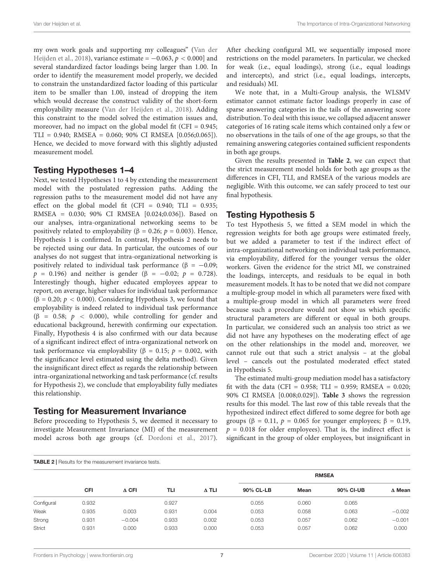my own work goals and supporting my colleagues" [\(Van der](#page-12-7) [Heijden et al.,](#page-12-7) [2018\)](#page-12-7), variance estimate =  $-0.063$ ,  $p < 0.000$ ] and several standardized factor loadings being larger than 1.00. In order to identify the measurement model properly, we decided to constrain the unstandardized factor loading of this particular item to be smaller than 1.00, instead of dropping the item which would decrease the construct validity of the short-form employability measure [\(Van der Heijden et al.,](#page-12-7) [2018\)](#page-12-7). Adding this constraint to the model solved the estimation issues and, moreover, had no impact on the global model fit (CFI = 0.945; TLI = 0.940; RMSEA = 0.060; 90% CI RMSEA [0.056;0.065]). Hence, we decided to move forward with this slightly adjusted measurement model.

### Testing Hypotheses 1–4

Next, we tested Hypotheses 1 to 4 by extending the measurement model with the postulated regression paths. Adding the regression paths to the measurement model did not have any effect on the global model fit (CFI =  $0.940$ ; TLI =  $0.935$ ; RMSEA = 0.030; 90% CI RMSEA [0.024;0.036]). Based on our analyses, intra-organizational networking seems to be positively related to employability (β = 0.26;  $p = 0.003$ ). Hence, Hypothesis 1 is confirmed. In contrast, Hypothesis 2 needs to be rejected using our data. In particular, the outcomes of our analyses do not suggest that intra-organizational networking is positively related to individual task performance ( $β = -0.09$ ;  $p = 0.196$ ) and neither is gender (β = -0.02;  $p = 0.728$ ). Interestingly though, higher educated employees appear to report, on average, higher values for individual task performance ( $\beta$  = 0.20;  $p$  < 0.000). Considering Hypothesis 3, we found that employability is indeed related to individual task performance (β = 0.58;  $p$  < 0.000), while controlling for gender and educational background, herewith confirming our expectation. Finally, Hypothesis 4 is also confirmed with our data because of a significant indirect effect of intra-organizational network on task performance via employability (β = 0.15;  $p = 0.002$ , with the significance level estimated using the delta method). Given the insignificant direct effect as regards the relationship between intra-organizational networking and task performance (cf. results for Hypothesis 2), we conclude that employability fully mediates this relationship.

#### Testing for Measurement Invariance

Before proceeding to Hypothesis 5, we deemed it necessary to investigate Measurement Invariance (MI) of the measurement model across both age groups (cf. [Dordoni et al.,](#page-10-38) [2017\)](#page-10-38). After checking configural MI, we sequentially imposed more restrictions on the model parameters. In particular, we checked for weak (i.e., equal loadings), strong (i.e., equal loadings and intercepts), and strict (i.e., equal loadings, intercepts, and residuals) MI.

We note that, in a Multi-Group analysis, the WLSMV estimator cannot estimate factor loadings properly in case of sparse answering categories in the tails of the answering score distribution. To deal with this issue, we collapsed adjacent answer categories of 16 rating scale items which contained only a few or no observations in the tails of one of the age groups, so that the remaining answering categories contained sufficient respondents in both age groups.

Given the results presented in **[Table 2](#page-6-0)**, we can expect that the strict measurement model holds for both age groups as the differences in CFI, TLI, and RMSEA of the various models are negligible. With this outcome, we can safely proceed to test our final hypothesis.

### Testing Hypothesis 5

To test Hypothesis 5, we fitted a SEM model in which the regression weights for both age groups were estimated freely, but we added a parameter to test if the indirect effect of intra-organizational networking on individual task performance, via employability, differed for the younger versus the older workers. Given the evidence for the strict MI, we constrained the loadings, intercepts, and residuals to be equal in both measurement models. It has to be noted that we did not compare a multiple-group model in which all parameters were fixed with a multiple-group model in which all parameters were freed because such a procedure would not show us which specific structural parameters are different or equal in both groups. In particular, we considered such an analysis too strict as we did not have any hypotheses on the moderating effect of age on the other relationships in the model and, moreover, we cannot rule out that such a strict analysis – at the global level – cancels out the postulated moderated effect stated in Hypothesis 5.

The estimated multi-group mediation model has a satisfactory fit with the data (CFI =  $0.958$ ; TLI =  $0.959$ ; RMSEA =  $0.020$ ; 90% CI RMSEA [0.008;0.029]). **[Table 3](#page-7-0)** shows the regression results for this model. The last row of this table reveals that the hypothesized indirect effect differed to some degree for both age groups ( $\beta$  = 0.11,  $p$  = 0.065 for younger employees;  $\beta$  = 0.19,  $p = 0.018$  for older employees). That is, the indirect effect is significant in the group of older employees, but insignificant in

<span id="page-6-0"></span>

| <b>TABLE 2</b>   Results for the measurement invariance tests. |            |              |            |              |              |       |           |               |  |  |  |  |
|----------------------------------------------------------------|------------|--------------|------------|--------------|--------------|-------|-----------|---------------|--|--|--|--|
|                                                                |            |              |            |              | <b>RMSEA</b> |       |           |               |  |  |  |  |
|                                                                | <b>CFI</b> | $\Delta$ CFI | <b>TLI</b> | $\Delta$ TLI | 90% CL-LB    | Mean  | 90% CI-UB | $\Delta$ Mean |  |  |  |  |
| Configural                                                     | 0.932      |              | 0.927      |              | 0.055        | 0.060 | 0.065     |               |  |  |  |  |
| Weak                                                           | 0.935      | 0.003        | 0.931      | 0.004        | 0.053        | 0.058 | 0.063     | $-0.002$      |  |  |  |  |
| Strong                                                         | 0.931      | $-0.004$     | 0.933      | 0.002        | 0.053        | 0.057 | 0.062     | $-0.001$      |  |  |  |  |
| Strict                                                         | 0.931      | 0.000        | 0.933      | 0.000        | 0.053        | 0.057 | 0.062     | 0.000         |  |  |  |  |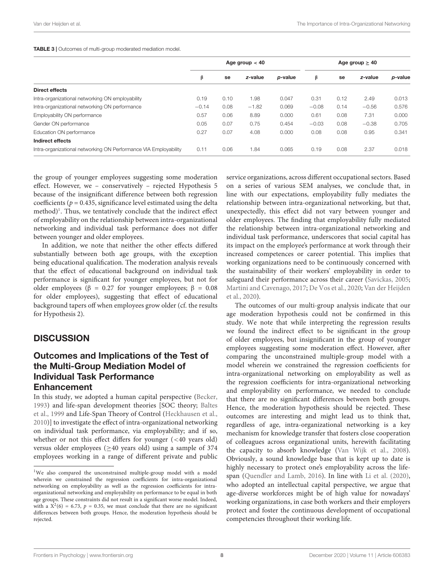#### <span id="page-7-0"></span>TABLE 3 | Outcomes of multi-group moderated mediation model.

|                                                                  |         | Age group $< 40$ |         | Age group $\geq 40$ |         |      |         |         |
|------------------------------------------------------------------|---------|------------------|---------|---------------------|---------|------|---------|---------|
|                                                                  | β       | se               | z-value | p-value             | β       | se   | z-value | p-value |
| Direct effects                                                   |         |                  |         |                     |         |      |         |         |
| Intra-organizational networking ON employability                 | 0.19    | 0.10             | 1.98    | 0.047               | 0.31    | 0.12 | 2.49    | 0.013   |
| Intra-organizational networking ON performance                   | $-0.14$ | 0.08             | $-1.82$ | 0.069               | $-0.08$ | 0.14 | $-0.56$ | 0.576   |
| Employability ON performance                                     | 0.57    | 0.06             | 8.89    | 0.000               | 0.61    | 0.08 | 7.31    | 0.000   |
| Gender ON performance                                            | 0.05    | 0.07             | 0.75    | 0.454               | $-0.03$ | 0.08 | $-0.38$ | 0.705   |
| Education ON performance                                         | 0.27    | 0.07             | 4.08    | 0.000               | 0.08    | 0.08 | 0.95    | 0.341   |
| Indirect effects                                                 |         |                  |         |                     |         |      |         |         |
| Intra-organizational networking ON Performance VIA Employability | 0.11    | 0.06             | 1.84    | 0.065               | 0.19    | 0.08 | 2.37    | 0.018   |

the group of younger employees suggesting some moderation effect. However, we – conservatively – rejected Hypothesis 5 because of the insignificant difference between both regression coefficients ( $p = 0.435$ , significance level estimated using the delta method)<sup>[1](#page-7-1)</sup>. Thus, we tentatively conclude that the indirect effect of employability on the relationship between intra-organizational networking and individual task performance does not differ between younger and older employees.

In addition, we note that neither the other effects differed substantially between both age groups, with the exception being educational qualification. The moderation analysis reveals that the effect of educational background on individual task performance is significant for younger employees, but not for older employees ( $\beta$  = 0.27 for younger employees;  $\beta$  = 0.08 for older employees), suggesting that effect of educational background tapers off when employees grow older (cf. the results for Hypothesis 2).

### **DISCUSSION**

# Outcomes and Implications of the Test of the Multi-Group Mediation Model of Individual Task Performance Enhancement

In this study, we adopted a human capital perspective [\(Becker,](#page-9-10) [1993\)](#page-9-10) and life-span development theories [SOC theory; [Baltes](#page-9-22) [et al.,](#page-9-22) [1999](#page-9-22) and Life-Span Theory of Control [\(Heckhausen et al.,](#page-10-32) [2010\)](#page-10-32)] to investigate the effect of intra-organizational networking on individual task performance, via employability; and if so, whether or not this effect differs for younger (<40 years old) versus older employees ( $\geq$ 40 years old) using a sample of 374 employees working in a range of different private and public service organizations, across different occupational sectors. Based on a series of various SEM analyses, we conclude that, in line with our expectations, employability fully mediates the relationship between intra-organizational networking, but that, unexpectedly, this effect did not vary between younger and older employees. The finding that employability fully mediated the relationship between intra-organizational networking and individual task performance, underscores that social capital has its impact on the employee's performance at work through their increased competences or career potential. This implies that working organizations need to be continuously concerned with the sustainability of their workers' employability in order to safeguard their performance across their career [\(Savickas,](#page-11-36) [2005;](#page-11-36) [Martini and Cavenago,](#page-11-30) [2017;](#page-11-30) [De Vos et al.,](#page-10-2) [2020;](#page-10-2) [Van der Heijden](#page-12-1) [et al.,](#page-12-1) [2020\)](#page-12-1).

The outcomes of our multi-group analysis indicate that our age moderation hypothesis could not be confirmed in this study. We note that while interpreting the regression results we found the indirect effect to be significant in the group of older employees, but insignificant in the group of younger employees suggesting some moderation effect. However, after comparing the unconstrained multiple-group model with a model wherein we constrained the regression coefficients for intra-organizational networking on employability as well as the regression coefficients for intra-organizational networking and employability on performance, we needed to conclude that there are no significant differences between both groups. Hence, the moderation hypothesis should be rejected. These outcomes are interesting and might lead us to think that, regardless of age, intra-organizational networking is a key mechanism for knowledge transfer that fosters close cooperation of colleagues across organizational units, herewith facilitating the capacity to absorb knowledge [\(Van Wijk et al.,](#page-12-21) [2008\)](#page-12-21). Obviously, a sound knowledge base that is kept up to date is highly necessary to protect one's employability across the lifespan [\(Quendler and Lamb,](#page-11-37) [2016\)](#page-11-37). In line with [Li et al.](#page-11-38) [\(2020\)](#page-11-38), who adopted an intellectual capital perspective, we argue that age-diverse workforces might be of high value for nowadays' working organizations, in case both workers and their employers protect and foster the continuous development of occupational competencies throughout their working life.

<span id="page-7-1"></span><sup>&</sup>lt;sup>1</sup>We also compared the unconstrained multiple-group model with a model wherein we constrained the regression coefficients for intra-organizational networking on employability as well as the regression coefficients for intraorganizational networking and employability on performance to be equal in both age groups. These constraints did not result in a significant worse model. Indeed, with a  $X^2(6) = 6.73$ ,  $p = 0.35$ , we must conclude that there are no significant differences between both groups. Hence, the moderation hypothesis should be rejected.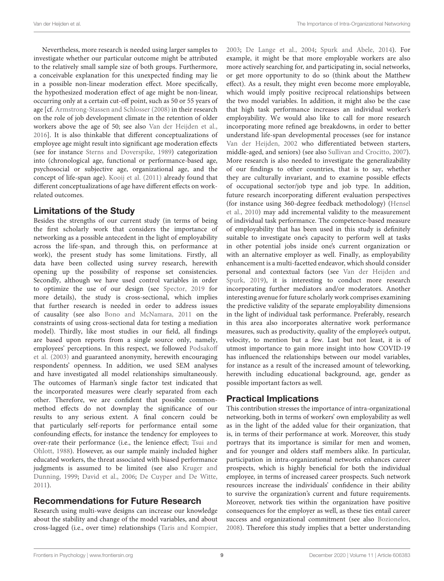Nevertheless, more research is needed using larger samples to investigate whether our particular outcome might be attributed to the relatively small sample size of both groups. Furthermore, a conceivable explanation for this unexpected finding may lie in a possible non-linear moderation effect. More specifically, the hypothesized moderation effect of age might be non-linear, occurring only at a certain cut-off point, such as 50 or 55 years of age [cf. [Armstrong-Stassen and Schlosser](#page-9-26) [\(2008\)](#page-9-26) in their research on the role of job development climate in the retention of older workers above the age of 50; see also [Van der Heijden et al.,](#page-12-3) [2016\]](#page-12-3). It is also thinkable that different conceptualizations of employee age might result into significant age moderation effects (see for instance [Sterns and Doverspike,](#page-11-39) [1989\)](#page-11-39) categorization into (chronological age, functional or performance-based age, psychosocial or subjective age, organizational age, and the concept of life-span age). [Kooij et al.](#page-10-34) [\(2011\)](#page-10-34) already found that different conceptualizations of age have different effects on workrelated outcomes.

# Limitations of the Study

Besides the strengths of our current study (in terms of being the first scholarly work that considers the importance of networking as a possible antecedent in the light of employability across the life-span, and through this, on performance at work), the present study has some limitations. Firstly, all data have been collected using survey research, herewith opening up the possibility of response set consistencies. Secondly, although we have used control variables in order to optimize the use of our design (see [Spector,](#page-11-40) [2019](#page-11-40) for more details), the study is cross-sectional, which implies that further research is needed in order to address issues of causality (see also [Bono and McNamara,](#page-9-27) [2011](#page-9-27) on the constraints of using cross-sectional data for testing a mediation model). Thirdly, like most studies in our field, all findings are based upon reports from a single source only, namely, employees' perceptions. In this respect, we followed [Podsakoff](#page-11-41) [et al.](#page-11-41) [\(2003\)](#page-11-41) and guaranteed anonymity, herewith encouraging respondents' openness. In addition, we used SEM analyses and have investigated all model relationships simultaneously. The outcomes of Harman's single factor test indicated that the incorporated measures were clearly separated from each other. Therefore, we are confident that possible commonmethod effects do not downplay the significance of our results to any serious extent. A final concern could be that particularly self-reports for performance entail some confounding effects, for instance the tendency for employees to over-rate their performance (i.e., the lenience effect; [Tsui and](#page-12-22) [Ohlott,](#page-12-22) [1988\)](#page-12-22). However, as our sample mainly included higher educated workers, the threat associated with biased performance judgments is assumed to be limited (see also [Kruger and](#page-10-39) [Dunning,](#page-10-39) [1999;](#page-10-39) [David et al.,](#page-9-28) [2006;](#page-9-28) [De Cuyper and De Witte,](#page-10-40) [2011\)](#page-10-40).

## Recommendations for Future Research

Research using multi-wave designs can increase our knowledge about the stability and change of the model variables, and about cross-lagged (i.e., over time) relationships [\(Taris and Kompier,](#page-11-42) [2003;](#page-11-42) [De Lange et al.,](#page-10-41) [2004;](#page-10-41) [Spurk and Abele,](#page-11-43) [2014\)](#page-11-43). For example, it might be that more employable workers are also more actively searching for, and participating in, social networks, or get more opportunity to do so (think about the Matthew effect). As a result, they might even become more employable, which would imply positive reciprocal relationships between the two model variables. In addition, it might also be the case that high task performance increases an individual worker's employability. We would also like to call for more research incorporating more refined age breakdowns, in order to better understand life-span developmental processes (see for instance [Van der Heijden,](#page-12-23) [2002](#page-12-23) who differentiated between starters, middle-aged, and seniors) (see also [Sullivan and Crocitto,](#page-11-44) [2007\)](#page-11-44). More research is also needed to investigate the generalizability of our findings to other countries, that is to say, whether they are culturally invariant, and to examine possible effects of occupational sector/job type and job type. In addition, future research incorporating different evaluation perspectives (for instance using 360-degree feedback methodology) [\(Hensel](#page-10-42) [et al.,](#page-10-42) [2010\)](#page-10-42) may add incremental validity to the measurement of individual task performance. The competence-based measure of employability that has been used in this study is definitely suitable to investigate one's capacity to perform well at tasks in other potential jobs inside one's current organization or with an alternative employer as well. Finally, as employability enhancement is a multi-facetted endeavor, which should consider personal and contextual factors (see [Van der Heijden and](#page-12-24) [Spurk,](#page-12-24) [2019\)](#page-12-24), it is interesting to conduct more research incorporating further mediators and/or moderators. Another interesting avenue for future scholarly work comprises examining the predictive validity of the separate employability dimensions in the light of individual task performance. Preferably, research in this area also incorporates alternative work performance measures, such as productivity, quality of the employee's output, velocity, to mention but a few. Last but not least, it is of utmost importance to gain more insight into how COVID-19 has influenced the relationships between our model variables, for instance as a result of the increased amount of teleworking, herewith including educational background, age, gender as possible important factors as well.

# Practical Implications

This contribution stresses the importance of intra-organizational networking, both in terms of workers' own employability as well as in the light of the added value for their organization, that is, in terms of their performance at work. Moreover, this study portrays that its importance is similar for men and women, and for younger and olders staff members alike. In particular, participation in intra-organizational networks enhances career prospects, which is highly beneficial for both the individual employee, in terms of increased career prospects. Such network resources increase the individuals' confidence in their ability to survive the organization's current and future requirements. Moreover, network ties within the organization have positive consequences for the employer as well, as these ties entail career success and organizational commitment (see also [Bozionelos,](#page-9-5) [2008\)](#page-9-5). Therefore this study implies that a better understanding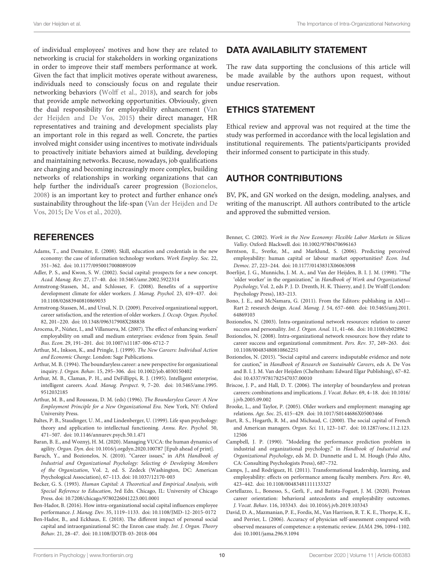of individual employees' motives and how they are related to networking is crucial for stakeholders in working organizations in order to improve their staff members performance at work. Given the fact that implicit motives operate without awareness, individuals need to consciously focus on and regulate their networking behaviors [\(Wolff et al.,](#page-12-25) [2018\)](#page-12-25), and search for jobs that provide ample networking opportunities. Obviously, given the dual responsibility for employability enhancement [\(Van](#page-12-26) [der Heijden and De Vos,](#page-12-26) [2015\)](#page-12-26) their direct manager, HR representatives and training and development specialists play an important role in this regard as well. Concrete, the parties involved might consider using incentives to motivate individuals to proactively initiate behaviors aimed at building, developing and maintaining networks. Because, nowadays, job qualifications are changing and becoming increasingly more complex, building networks of relationships in working organizations that can help further the individual's career progression [\(Bozionelos,](#page-9-5) [2008\)](#page-9-5) is an important key to protect and further enhance one's sustainability throughout the life-span [\(Van der Heijden and De](#page-12-26) [Vos,](#page-12-26) [2015;](#page-12-26) [De Vos et al.,](#page-10-2) [2020\)](#page-10-2).

### **REFERENCES**

- <span id="page-9-16"></span>Adams, T., and Demaiter, E. (2008). Skill, education and credentials in the new economy: the case of information technology workers. Work Employ. Soc. 22, 351–362. [doi: 10.1177/0950017008089109](https://doi.org/10.1177/0950017008089109)
- <span id="page-9-7"></span>Adler, P. S., and Kwon, S. W. (2002). Social capital: prospects for a new concept. Acad. Manag. Rev. 27, 17–40. [doi: 10.5465/amr.2002.5922314](https://doi.org/10.5465/amr.2002.5922314)
- <span id="page-9-26"></span>Armstrong-Stassen, M., and Schlosser, F. (2008). Benefits of a supportive development climate for older workers. J. Manag. Psychol. 23, 419–437. [doi:](https://doi.org/10.1108/02683940810869033) [10.1108/02683940810869033](https://doi.org/10.1108/02683940810869033)
- <span id="page-9-23"></span>Armstrong-Stassen, M., and Ursul, N. D. (2009). Perceived organizational support, career satisfaction, and the retention of older workers. J. Occup. Organ. Psychol. 82, 201–220. [doi: 10.1348/096317908X288838](https://doi.org/10.1348/096317908X288838)
- <span id="page-9-20"></span>Arocena, P., Núñez, I., and Villanueva, M. (2007). The effect of enhancing workers' employability on small and medium enterprises: evidence from Spain. Small Bus. Econ. 29, 191–201. [doi: 10.1007/s11187-006-6712-7](https://doi.org/10.1007/s11187-006-6712-7)
- <span id="page-9-19"></span>Arthur, M., Inkson, K., and Pringle, J. (1999). The New Careers: Individual Action and Economic Change. London: Sage Publications.
- <span id="page-9-0"></span>Arthur, M. B. (1994). The boundaryless career: a new perspective for organizational inquiry. J. Organ. Behav. 15, 295–306. [doi: 10.1002/job.4030150402](https://doi.org/10.1002/job.4030150402)
- <span id="page-9-18"></span>Arthur, M. B., Claman, P. H., and DeFillippi, R. J. (1995). Intelligent enterprise, intelligent careers. Acad. Manag. Perspect. 9, 7–20. [doi: 10.5465/ame.1995.](https://doi.org/10.5465/ame.1995.9512032185) [9512032185](https://doi.org/10.5465/ame.1995.9512032185)
- <span id="page-9-17"></span>Arthur, M. B., and Rousseau, D. M. (eds) (1996). The Boundaryless Career: A New Employment Principle for a New Organizational Era. New York, NY: Oxford University Press.
- <span id="page-9-22"></span>Baltes, P. B., Staudinger, U. M., and Lindenberger, U. (1999). Life span psychology: theory and application to intellectual functioning. Annu. Rev. Psychol. 50, 471–507. [doi: 10.1146/annurev.psych.50.1.471](https://doi.org/10.1146/annurev.psych.50.1.471)
- <span id="page-9-2"></span>Baran, B. E., and Woznyj, H. M. (2020). Managing VUCA: the human dynamics of agility. Organ. Dyn. [doi: 10.1016/j.orgdyn.2020.100787](https://doi.org/10.1016/j.orgdyn.2020.100787) [Epub ahead of print].
- <span id="page-9-11"></span>Baruch, Y., and Bozionelos, N. (2010). "Career issues," in APA Handbook of Industrial and Organizational Psychology: Selecting & Developing Members of the Organization, Vol. 2, ed. S. Zedeck (Washington, DC: American Psychological Association), 67–113. [doi: 10.1037/12170-003](https://doi.org/10.1037/12170-003)
- <span id="page-9-10"></span>Becker, G. S. (1993). Human Capital: A Theoretical and Empirical Analysis, with Special Reference to Education, 3rd Edn. Chicago, IL: University of Chicago Press. [doi: 10.7208/chicago/9780226041223.001.0001](https://doi.org/10.7208/chicago/9780226041223.001.0001)
- <span id="page-9-14"></span>Ben-Hador, B. (2016). How intra-organizational social capital influences employee performance. J. Manag. Dev. 35, 1119–1133. [doi: 10.1108/JMD-12-2015-0172](https://doi.org/10.1108/JMD-12-2015-0172)
- <span id="page-9-13"></span>Ben-Hador, B., and Eckhaus, E. (2018). The different impact of personal social capital and intraorganizational SC: the Enron case study. Int. J. Organ. Theory Behav. 21, 28–47. [doi: 10.1108/IJOTB-03-2018-004](https://doi.org/10.1108/IJOTB-03-2018-004)

### DATA AVAILABILITY STATEMENT

The raw data supporting the conclusions of this article will be made available by the authors upon request, without undue reservation.

# ETHICS STATEMENT

Ethical review and approval was not required at the time the study was performed in accordance with the local legislation and institutional requirements. The patients/participants provided their informed consent to participate in this study.

# AUTHOR CONTRIBUTIONS

BV, PK, and GN worked on the design, modeling, analyses, and writing of the manuscript. All authors contributed to the article and approved the submitted version.

- <span id="page-9-15"></span>Benner, C. (2002). Work in the New Economy: Flexible Labor Markets in Silicon Valley. Oxford: Blackwell. [doi: 10.1002/9780470696163](https://doi.org/10.1002/9780470696163)
- <span id="page-9-3"></span>Berntson, E., Sverke, M., and Marklund, S. (2006). Predicting perceived employability: human capital or labour market opportunities? Econ. Ind. Democ. 27, 223–244. [doi: 10.1177/0143831X06063098](https://doi.org/10.1177/0143831X06063098)
- <span id="page-9-25"></span>Boerlijst, J. G., Munnichs, J. M. A., and Van der Heijden, B. I. J. M. (1998). "The 'older worker' in the organization," in Handbook of Work and Organizational Psychology, Vol. 2, eds P. J. D. Drenth, H. K. Thierry, and J. De Wolff (London: Psychology Press), 183–213.
- <span id="page-9-27"></span>Bono, J. E., and McNamara, G. (2011). From the Editors: publishing in AMJ— Rart 2: research design. Acad. Manag. J. 54, 657–660. [doi: 10.5465/amj.2011.](https://doi.org/10.5465/amj.2011.64869103) [64869103](https://doi.org/10.5465/amj.2011.64869103)
- <span id="page-9-6"></span>Bozionelos, N. (2003). Intra-organizational network resources: relation to career success and personality. Int. J. Organ. Anal. 11, 41–66. [doi: 10.1108/eb028962](https://doi.org/10.1108/eb028962)
- <span id="page-9-5"></span>Bozionelos, N. (2008). Intra-organizational network resources: how they relate to career success and organizational commitment. Pers. Rev. 37, 249–263. [doi:](https://doi.org/10.1108/00483480810862251) [10.1108/00483480810862251](https://doi.org/10.1108/00483480810862251)
- <span id="page-9-12"></span>Bozionelos, N. (2015). "Social capital and careers: indisputable evidence and note for caution," in Handbook of Research on Sustainable Careers, eds A. De Vos and B. I. J. M. Van der Heijden (Cheltenham: Edward Elgar Publishing), 67–82. [doi: 10.4337/9781782547037.00010](https://doi.org/10.4337/9781782547037.00010)
- <span id="page-9-1"></span>Briscoe, J. P., and Hall, D. T. (2006). The interplay of boundaryless and protean careers: combinations and implications. J. Vocat. Behav. 69, 4–18. [doi: 10.1016/](https://doi.org/10.1016/j.jvb.2005.09.002) [j.jvb.2005.09.002](https://doi.org/10.1016/j.jvb.2005.09.002)
- <span id="page-9-24"></span>Brooke, L., and Taylor, P. (2005). Older workers and employment: managing age relations. Age. Soc. 25, 415–429. [doi: 10.1017/S0144686X05003466](https://doi.org/10.1017/S0144686X05003466)
- <span id="page-9-9"></span>Burt, R. S., Hogarth, R. M., and Michaud, C. (2000). The social capital of French and American managers. Organ. Sci. 11, 123–147. [doi: 10.1287/orsc.11.2.123.](https://doi.org/10.1287/orsc.11.2.123.12506) [12506](https://doi.org/10.1287/orsc.11.2.123.12506)
- <span id="page-9-8"></span>Campbell, J. P. (1990). "Modeling the performance prediction problem in industrial and organizational psychology," in Handbook of Industrial and Organizational Psychology, eds M. D. Dunnette and L. M. Hough (Palo Alto, CA: Consulting Psychologists Press), 687–732.
- <span id="page-9-21"></span>Camps, J., and Rodríguez, H. (2011). Transformational leadership, learning, and employability: effects on performance among faculty members. Pers. Rev. 40, 423–442. [doi: 10.1108/00483481111133327](https://doi.org/10.1108/00483481111133327)
- <span id="page-9-4"></span>Cortellazzo, L., Bonesso, S., Gerli, F., and Batista-Foguet, J. M. (2020). Protean career orientation: behavioral antecedents and employability outcomes. J. Vocat. Behav. 116, 103343. [doi: 10.1016/j.jvb.2019.103343](https://doi.org/10.1016/j.jvb.2019.103343)
- <span id="page-9-28"></span>David, D. A., Mazmanian, P. E., Fordis, M., Van Harrison, R. T. K. E., Thorpe, K. E., and Perrier, L. (2006). Accuracy of physician self-assessment compared with observed measures of competence: a systematic review. JAMA 296, 1094–1102. [doi: 10.1001/jama.296.9.1094](https://doi.org/10.1001/jama.296.9.1094)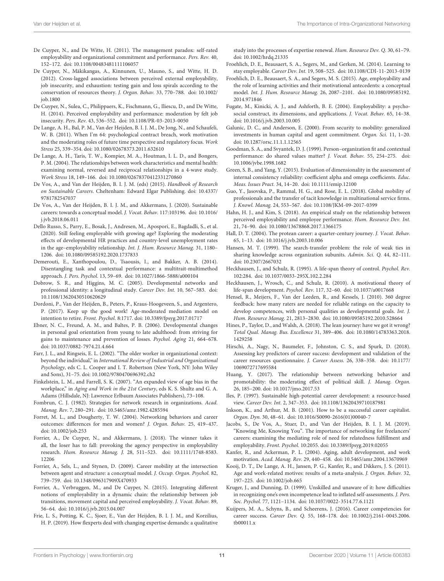- <span id="page-10-40"></span>De Cuyper, N., and De Witte, H. (2011). The management paradox: self-rated employability and organizational commitment and performance. Pers. Rev. 40, 152–172. [doi: 10.1108/00483481111106057](https://doi.org/10.1108/00483481111106057)
- <span id="page-10-12"></span>De Cuyper, N., Mäkikangas, A., Kinnunen, U., Mauno, S., and Witte, H. D. (2012). Cross-lagged associations between perceived external employability, job insecurity, and exhaustion: testing gain and loss spirals according to the conservation of resources theory. J. Organ. Behav. 33, 770–788. [doi: 10.1002/](https://doi.org/10.1002/job.1800) [job.1800](https://doi.org/10.1002/job.1800)
- <span id="page-10-24"></span>De Cuyper, N., Sulea, C., Philippaers, K., Fischmann, G., Iliescu, D., and De Witte, H. (2014). Perceived employability and performance: moderation by felt job insecurity. Pers. Rev. 43, 536–552. [doi: 10.1108/PR-03-2013-0050](https://doi.org/10.1108/PR-03-2013-0050)
- <span id="page-10-31"></span>De Lange, A. H., Bal, P. M., Van der Heijden, B. I. J. M., De Jong, N., and Schaufeli, W. B. (2011). When I'm 64: psychological contract breach, work motivation and the moderating roles of future time perspective and regulatory focus. Work Stress 25, 339–354. [doi: 10.1080/02678373.2011.632610](https://doi.org/10.1080/02678373.2011.632610)
- <span id="page-10-41"></span>De Lange, A. H., Taris, T. W., Kompier, M. A., Houtman, I. L. D., and Bongers, P. M. (2004). The relationships between work characteristics and mental health: examining normal, reversed and reciprocal relationships in a 4-wave study. Work Stress 18, 149–166. [doi: 10.1080/02678370412331270860](https://doi.org/10.1080/02678370412331270860)
- <span id="page-10-25"></span>De Vos, A., and Van der Heijden, B. I. J. M. (eds) (2015). Handbook of Research on Sustainable Careers. Cheltenham: Edward Elgar Publishing. [doi: 10.4337/](https://doi.org/10.4337/9781782547037) [9781782547037](https://doi.org/10.4337/9781782547037)
- <span id="page-10-2"></span>De Vos, A., Van der Heijden, B. I. J. M., and Akkermans, J. (2020). Sustainable careers: towards a conceptual model. J. Vocat. Behav. 117:103196. [doi: 10.1016/](https://doi.org/10.1016/j.jvb.2018.06.011) [j.jvb.2018.06.011](https://doi.org/10.1016/j.jvb.2018.06.011)
- <span id="page-10-15"></span>Dello Russo, S., Parry, E., Bosak, J., Andresen, M., Apospori, E., Bagdadli, S., et al. (2020). Still feeling employable with growing age? Exploring the moderating effects of developmental HR practices and country-level unemployment rates in the age–employability relationship. Int. J. Hum. Resource Manag. 31, 1180– 1206. [doi: 10.1080/09585192.2020.1737833](https://doi.org/10.1080/09585192.2020.1737833)
- <span id="page-10-37"></span>Demerouti, E., Xanthopoulou, D., Tsaousis, I., and Bakker, A. B. (2014). Disentangling task and contextual performance: a multitrait-multimethod approach. J. Pers. Psychol. 13, 59–69. [doi: 10.1027/1866-5888/a000104](https://doi.org/10.1027/1866-5888/a000104)
- <span id="page-10-7"></span>Dobrow, S. R., and Higgins, M. C. (2005). Developmental networks and professional identity: a longitudinal study. Career Dev. Int. 10, 567–583. [doi:](https://doi.org/10.1108/13620430510620629) [10.1108/13620430510620629](https://doi.org/10.1108/13620430510620629)
- <span id="page-10-38"></span>Dordoni, P., Van der Heijden, B., Peters, P., Kraus-Hoogeveen, S., and Argentero, P. (2017). Keep up the good work! Age-moderated mediation model on intention to retire. Front. Psychol. 8:1717. [doi: 10.3389/fpsyg.2017.01717](https://doi.org/10.3389/fpsyg.2017.01717)
- <span id="page-10-30"></span>Ebner, N. C., Freund, A. M., and Baltes, P. B. (2006). Developmental changes in personal goal orientation from young to late adulthood: from striving for gains to maintenance and prevention of losses. Psychol. Aging 21, 664–678. [doi: 10.1037/0882-7974.21.4.664](https://doi.org/10.1037/0882-7974.21.4.664)
- <span id="page-10-28"></span>Farr, J. L., and Ringseis, E. L. (2002). "The older worker in organizational context: beyond the individual," in International Review of Industrial and Organizational Psychology, eds C. L. Cooper and I. T. Robertson (New York, NY: John Wiley and Sons), 31–75. [doi: 10.1002/9780470696392.ch2](https://doi.org/10.1002/9780470696392.ch2)
- <span id="page-10-9"></span>Finkelstein, L. M., and Farrell, S. K. (2007). "An expanded view of age bias in the workplace," in Aging and Work in the 21st Century, eds K. S. Shultz and G. A. Adams (Hillsdale, NJ: Lawrence Erlbaum Associates Publishers), 73–108.
- <span id="page-10-18"></span>Fombrun, C. J. (1982). Strategies for network research in organizations. Acad. Manag. Rev. 7, 280–291. [doi: 10.5465/amr.1982.4285594](https://doi.org/10.5465/amr.1982.4285594)
- <span id="page-10-19"></span>Forret, M. L., and Dougherty, T. W. (2004). Networking behaviors and career outcomes: differences for men and women? J. Organ. Behav. 25, 419–437. [doi: 10.1002/job.253](https://doi.org/10.1002/job.253)
- <span id="page-10-1"></span>Forrier, A., De Cuyper, N., and Akkermans, J. (2018). The winner takes it all, the loser has to fall: provoking the agency perspective in employability research. Hum. Resource Manag. J. 28, 511–523. [doi: 10.1111/1748-8583.](https://doi.org/10.1111/1748-8583.12206) [12206](https://doi.org/10.1111/1748-8583.12206)
- <span id="page-10-11"></span>Forrier, A., Sels, L., and Stynen, D. (2009). Career mobility at the intersection between agent and structure: a conceptual model. J. Occup. Organ. Psychol. 82, 739–759. [doi: 10.1348/096317909X470933](https://doi.org/10.1348/096317909X470933)
- <span id="page-10-10"></span>Forrier, A., Verbruggen, M., and De Cuyper, N. (2015). Integrating different notions of employability in a dynamic chain: the relationship between job transitions, movement capital and perceived employability. J. Vocat. Behav. 89, 56–64. [doi: 10.1016/j.jvb.2015.04.007](https://doi.org/10.1016/j.jvb.2015.04.007)
- <span id="page-10-13"></span>Frie, L. S., Potting, K. C., Sjoer, E., Van der Heijden, B. I. J. M., and Korzilius, H. P. (2019). How flexperts deal with changing expertise demands: a qualitative

study into the processes of expertise renewal. Hum. Resource Dev. Q. 30, 61–79. [doi: 10.1002/hrdq.21335](https://doi.org/10.1002/hrdq.21335)

- <span id="page-10-14"></span>Froehlich, D. E., Beausaert, S. A., Segers, M., and Gerken, M. (2014). Learning to stay employable. Career Dev. Int. 19, 508–525. [doi: 10.1108/CDI-11-2013-0139](https://doi.org/10.1108/CDI-11-2013-0139)
- <span id="page-10-21"></span>Froehlich, D. E., Beausaert, S. A., and Segers, M. S. (2015). Age, employability and the role of learning activities and their motivational antecedents: a conceptual model. Int. J. Hum. Resource Manag. 26, 2087–2101. [doi: 10.1080/09585192.](https://doi.org/10.1080/09585192.2014.971846) [2014.971846](https://doi.org/10.1080/09585192.2014.971846)
- <span id="page-10-16"></span>Fugate, M., Kinicki, A. J., and Ashforth, B. E. (2004). Employability: a psychosocial construct, its dimensions, and applications. J. Vocat. Behav. 65, 14–38. [doi: 10.1016/j.jvb.2003.10.005](https://doi.org/10.1016/j.jvb.2003.10.005)
- <span id="page-10-17"></span>Galunic, D. C., and Anderson, E. (2000). From security to mobility: generalized investments in human capital and agent commitment. Organ. Sci. 11, 1–20. [doi: 10.1287/orsc.11.1.1.12565](https://doi.org/10.1287/orsc.11.1.1.12565)
- <span id="page-10-36"></span>Goodman, S. A., and Svyantek, D. J. (1999). Person–organization fit and contextual performance: do shared values matter? J. Vocat. Behav. 55, 254–275. [doi:](https://doi.org/10.1006/jvbe.1998.1682) [10.1006/jvbe.1998.1682](https://doi.org/10.1006/jvbe.1998.1682)
- <span id="page-10-35"></span>Green, S. B., and Yang, Y. (2015). Evaluation of dimensionality in the assessment of internal consistency reliability: coefficient alpha and omega coefficients. Educ. Meas. Issues Pract. 34, 14–20. [doi: 10.1111/emip.12100](https://doi.org/10.1111/emip.12100)
- <span id="page-10-23"></span>Guo, Y., Jasovska, P., Rammal, H. G., and Rose, E. L. (2018). Global mobility of professionals and the transfer of tacit knowledge in multinational service firms. J. Knowl. Manag. 24, 553–567. [doi: 10.1108/JKM-09-2017-0399](https://doi.org/10.1108/JKM-09-2017-0399)
- <span id="page-10-27"></span>Hahn, H. J., and Kim, S. (2018). An empirical study on the relationship between perceived employability and employee performance. Hum. Resource Dev. Int. 21, 74–90. [doi: 10.1080/13678868.2017.1366175](https://doi.org/10.1080/13678868.2017.1366175)
- <span id="page-10-3"></span>Hall, D. T. (2004). The protean career: a quarter-century journey. J. Vocat. Behav. 65, 1–13. [doi: 10.1016/j.jvb.2003.10.006](https://doi.org/10.1016/j.jvb.2003.10.006)
- <span id="page-10-20"></span>Hansen, M. T. (1999). The search-transfer problem: the role of weak ties in sharing knowledge across organization subunits. Admin. Sci. Q. 44, 82–111. [doi: 10.2307/2667032](https://doi.org/10.2307/2667032)
- <span id="page-10-33"></span>Heckhausen, J., and Schulz, R. (1995). A life-span theory of control. Psychol. Rev. 102:284. [doi: 10.1037/0033-295X.102.2.284](https://doi.org/10.1037/0033-295X.102.2.284)
- <span id="page-10-32"></span>Heckhausen, J., Wrosch, C., and Schulz, R. (2010). A motivational theory of life-span development. Psychol. Rev. 117, 32–60. [doi: 10.1037/a0017668](https://doi.org/10.1037/a0017668)
- <span id="page-10-42"></span>Hensel, R., Meijers, F., Van der Leeden, R., and Kessels, J. (2010). 360 degree feedback: how many raters are needed for reliable ratings on the capacity to develop competences, with personal qualities as developmental goals. Int. J. Hum. Resource Manag. 21, 2813–2830. [doi: 10.1080/09585192.2010.528664](https://doi.org/10.1080/09585192.2010.528664)
- <span id="page-10-6"></span>Hines, P., Taylor, D., and Walsh, A. (2018). The lean journey: have we got it wrong? Total Qual. Manag. Bus. Excellence 31, 389–406. [doi: 10.1080/14783363.2018.](https://doi.org/10.1080/14783363.2018.1429258) [1429258](https://doi.org/10.1080/14783363.2018.1429258)
- <span id="page-10-8"></span>Hirschi, A., Nagy, N., Baumeler, F., Johnston, C. S., and Spurk, D. (2018). Assessing key predictors of career success: development and validation of the career resources questionnaire. J. Career Assess. 26, 338–358. [doi: 10.1177/](https://doi.org/10.1177/1069072717695584) [1069072717695584](https://doi.org/10.1177/1069072717695584)
- <span id="page-10-22"></span>Huang, Y. (2017). The relationship between networking behavior and promotability: the moderating effect of political skill. J. Manag. Organ. 26, 185–200. [doi: 10.1017/jmo.2017.53](https://doi.org/10.1017/jmo.2017.53)
- <span id="page-10-4"></span>Iles, P. (1997). Sustainable high-potential career development: a resource-based view. Career Dev. Int. 2, 347–353. [doi: 10.1108/13620439710187981](https://doi.org/10.1108/13620439710187981)
- <span id="page-10-5"></span>Inkson, K., and Arthur, M. B. (2001). How to be a successful career capitalist. Organ. Dyn. 30, 48–61. [doi: 10.1016/S0090-2616\(01\)00040-7](https://doi.org/10.1016/S0090-2616(01)00040-7)
- <span id="page-10-26"></span>Jacobs, S., De Vos, A., Stuer, D., and Van der Heijden, B. I. J. M. (2019). "Knowing Me, Knowing You". The importance of networking for freelancers' careers: examining the mediating role of need for relatedness fulfillment and employability. Front. Psychol. 10:2055. [doi: 10.3389/fpsyg.2019.02055](https://doi.org/10.3389/fpsyg.2019.02055)
- <span id="page-10-29"></span>Kanfer, R., and Ackerman, P. L. (2004). Aging, adult development, and work motivation. Acad. Manag. Rev. 29, 440–458. [doi: 10.5465/amr.2004.13670969](https://doi.org/10.5465/amr.2004.13670969)
- <span id="page-10-34"></span>Kooij, D. T., De Lange, A. H., Jansen, P. G., Kanfer, R., and Dikkers, J. S. (2011). Age and work-related motives: results of a meta-analysis. J. Organ. Behav. 32, 197–225. [doi: 10.1002/job.665](https://doi.org/10.1002/job.665)
- <span id="page-10-39"></span>Kruger, J., and Dunning, D. (1999). Unskilled and unaware of it: how difficulties in recognizing one's own incompetence lead to inflated self-assessments. J. Pers. Soc. Psychol. 77, 1121–1134. [doi: 10.1037/0022-3514.77.6.1121](https://doi.org/10.1037/0022-3514.77.6.1121)
- <span id="page-10-0"></span>Kuijpers, M. A., Schyns, B., and Scheerens, J. (2016). Career competencies for career success. Career Dev. Q. 55, 168–178. [doi: 10.1002/j.2161-0045.2006.](https://doi.org/10.1002/j.2161-0045.2006.tb00011.x) [tb00011.x](https://doi.org/10.1002/j.2161-0045.2006.tb00011.x)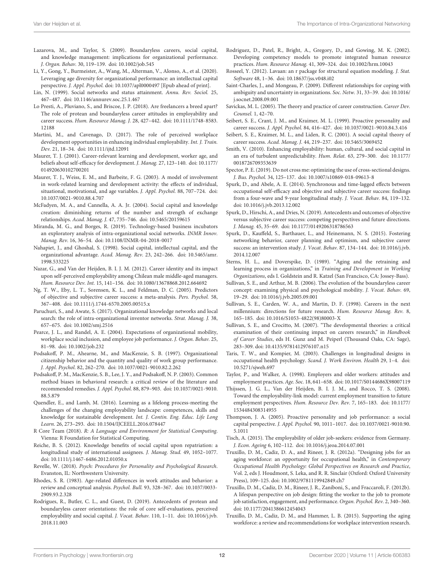- <span id="page-11-1"></span>Lazarova, M., and Taylor, S. (2009). Boundaryless careers, social capital, and knowledge management: implications for organizational performance. J. Organ. Behav. 30, 119–139. [doi: 10.1002/job.545](https://doi.org/10.1002/job.545)
- <span id="page-11-38"></span>Li, Y., Gong, Y., Burmeister, A., Wang, M., Alterman, V., Alonso, A., et al. (2020). Leveraging age diversity for organizational performance: an intellectual capital perspective. J. Appl. Psychol. [doi: 10.1037/apl0000497](https://doi.org/10.1037/apl0000497) [Epub ahead of print].
- <span id="page-11-17"></span>Lin, N. (1999). Social networks and status attainment. Annu. Rev. Sociol. 25, 467–487. [doi: 10.1146/annurev.soc.25.1.467](https://doi.org/10.1146/annurev.soc.25.1.467)
- <span id="page-11-7"></span>Lo Presti, A., Pluviano, S., and Briscoe, J. P. (2018). Are freelancers a breed apart? The role of protean and boundaryless career attitudes in employability and career success. Hum. Resource Manag. J. 28, 427–442. [doi: 10.1111/1748-8583.](https://doi.org/10.1111/1748-8583.12188) [12188](https://doi.org/10.1111/1748-8583.12188)
- <span id="page-11-30"></span>Martini, M., and Cavenago, D. (2017). The role of perceived workplace development opportunities in enhancing individual employability. Int. J. Train. Dev. 21, 18–34. [doi: 10.1111/ijtd.12091](https://doi.org/10.1111/ijtd.12091)
- <span id="page-11-26"></span>Maurer, T. J. (2001). Career-relevant learning and development, worker age, and beliefs about self-efficacy for development. J. Manag. 27, 123–140. [doi: 10.1177/](https://doi.org/10.1177/014920630102700201) [014920630102700201](https://doi.org/10.1177/014920630102700201)
- <span id="page-11-29"></span>Maurer, T. J., Weiss, E. M., and Barbeite, F. G. (2003). A model of involvement in work-related learning and development activity: the effects of individual, situational, motivational, and age variables. J. Appl. Psychol. 88, 707–724. [doi:](https://doi.org/10.1037/0021-9010.88.4.707) [10.1037/0021-9010.88.4.707](https://doi.org/10.1037/0021-9010.88.4.707)
- <span id="page-11-12"></span>McFadyen, M. A., and Cannella, A. A. Jr. (2004). Social capital and knowledge creation: diminishing returns of the number and strength of exchange relationships. Acad. Manag. J. 47, 735–746. [doi: 10.5465/20159615](https://doi.org/10.5465/20159615)
- <span id="page-11-18"></span>Miranda, M. G., and Borges, R. (2019). Technology-based business incubators an exploratory analysis of intra-organizational social networks. INMR Innov. Manag. Rev. 16, 36–54. [doi: 10.1108/INMR-04-2018-0017](https://doi.org/10.1108/INMR-04-2018-0017)
- <span id="page-11-15"></span>Nahapiet, J., and Ghoshal, S. (1998). Social capital, intellectual capital, and the organizational advantage. Acad. Manag. Rev. 23, 242–266. [doi: 10.5465/amr.](https://doi.org/10.5465/amr.1998.533225) [1998.533225](https://doi.org/10.5465/amr.1998.533225)
- <span id="page-11-3"></span>Nazar, G., and Van der Heijden, B. I. J. M. (2012). Career identity and its impact upon self-perceived employability among Chilean male middle-aged managers. Hum. Resource Dev. Int. 15, 141–156. [doi: 10.1080/13678868.2012.664692](https://doi.org/10.1080/13678868.2012.664692)
- <span id="page-11-34"></span>Ng, T. W., Eby, L. T., Sorensen, K. L., and Feldman, D. C. (2005). Predictors of objective and subjective career success: a meta-analysis. Pers. Psychol. 58, 367–408. [doi: 10.1111/j.1744-6570.2005.00515.x](https://doi.org/10.1111/j.1744-6570.2005.00515.x)
- <span id="page-11-19"></span>Paruchuri, S., and Awate, S. (2017). Organizational knowledge networks and local search: the role of intra-organizational inventor networks. Strat. Manag. J. 38, 657–675. [doi: 10.1002/smj.2516](https://doi.org/10.1002/smj.2516)
- <span id="page-11-11"></span>Pearce, J. L., and Randel, A. E. (2004). Expectations of organizational mobility, workplace social inclusion, and employee job performance. J. Organ. Behav. 25, 81–98. [doi: 10.1002/job.232](https://doi.org/10.1002/job.232)
- <span id="page-11-10"></span>Podsakoff, P. M., Ahearne, M., and MacKenzie, S. B. (1997). Organizational citizenship behavior and the quantity and quality of work group performance. J. Appl. Psychol. 82, 262–270. [doi: 10.1037/0021-9010.82.2.262](https://doi.org/10.1037/0021-9010.82.2.262)
- <span id="page-11-41"></span>Podsakoff, P. M., MacKenzie, S. B., Lee, J. Y., and Podsakoff, N. P. (2003). Common method biases in behavioral research: a critical review of the literature and recommended remedies. J. Appl. Psychol. 88, 879–903. [doi: 10.1037/0021-9010.](https://doi.org/10.1037/0021-9010.88.5.879) [88.5.879](https://doi.org/10.1037/0021-9010.88.5.879)
- <span id="page-11-37"></span>Quendler, E., and Lamb, M. (2016). Learning as a lifelong process-meeting the challenges of the changing employability landscape: competences, skills and knowledge for sustainable development. Int. J. Contin. Eng. Educ. Life Long Learn. 26, 273–293. [doi: 10.1504/IJCEELL.2016.078447](https://doi.org/10.1504/IJCEELL.2016.078447)
- <span id="page-11-32"></span>R Core Team (2018). R: A Language and Environment for Statistical Computing. Vienna: R Foundation for Statistical Computing.
- <span id="page-11-22"></span>Reiche, B. S. (2012). Knowledge benefits of social capital upon repatriation: a longitudinal study of international assignees. J. Manag. Stud. 49, 1052–1077. [doi: 10.1111/j.1467-6486.2012.01050.x](https://doi.org/10.1111/j.1467-6486.2012.01050.x)
- <span id="page-11-31"></span>Revelle, W. (2018). Psych: Procedures for Personality and Psychological Research. Evanston, IL: Northwestern University.
- <span id="page-11-28"></span>Rhodes, S. R. (1983). Age-related differences in work attitudes and behavior: a review and conceptual analysis. Psychol. Bull. 93, 328–367. [doi: 10.1037/0033-](https://doi.org/10.1037/0033-2909.93.2.328) [2909.93.2.328](https://doi.org/10.1037/0033-2909.93.2.328)
- <span id="page-11-5"></span>Rodrigues, R., Butler, C. L., and Guest, D. (2019). Antecedents of protean and boundaryless career orientations: the role of core self-evaluations, perceived employability and social capital. J. Vocat. Behav. 110, 1-11. [doi: 10.1016/j.jvb.](https://doi.org/10.1016/j.jvb.2018.11.003) [2018.11.003](https://doi.org/10.1016/j.jvb.2018.11.003)
- <span id="page-11-8"></span>Rodriguez, D., Patel, R., Bright, A., Gregory, D., and Gowing, M. K. (2002). Developing competency models to promote integrated human resource practices. Hum. Resource Manag. 41, 309–324. [doi: 10.1002/hrm.10043](https://doi.org/10.1002/hrm.10043)
- <span id="page-11-35"></span>Rosseel, Y. (2012). Lavaan: an r package for structural equation modeling. J. Stat. Software 48, 1–36. [doi: 10.18637/jss.v048.i02](https://doi.org/10.18637/jss.v048.i02)
- <span id="page-11-16"></span>Saint-Charles, J., and Mongeau, P. (2009). Different relationships for coping with ambiguity and uncertainty in organizations. Soc. Netw. 31, 33–39. [doi: 10.1016/](https://doi.org/10.1016/j.socnet.2008.09.001) [j.socnet.2008.09.001](https://doi.org/10.1016/j.socnet.2008.09.001)
- <span id="page-11-36"></span>Savickas, M. L. (2005). The theory and practice of career construction. Career Dev. Counsel. 1, 42–70.
- <span id="page-11-9"></span>Seibert, S. E., Crant, J. M., and Kraimer, M. L. (1999). Proactive personality and career success. J. Appl. Psychol. 84, 416–427. [doi: 10.1037/0021-9010.84.3.416](https://doi.org/10.1037/0021-9010.84.3.416)
- <span id="page-11-4"></span>Seibert, S. E., Kraimer, M. L., and Liden, R. C. (2001). A social capital theory of career success. Acad. Manag. J. 44, 219–237. [doi: 10.5465/3069452](https://doi.org/10.5465/3069452)
- <span id="page-11-14"></span>Smith, V. (2010). Enhancing employability: human, cultural, and social capital in an era of turbulent unpredictability. Hum. Relat. 63, 279–300. [doi: 10.1177/](https://doi.org/10.1177/0018726709353639) [0018726709353639](https://doi.org/10.1177/0018726709353639)
- <span id="page-11-40"></span>Spector, P. E. (2019). Do not cross me: optimizing the use of cross-sectional designs. J. Bus. Psychol. 34, 125–137. [doi: 10.1007/s10869-018-09613-8](https://doi.org/10.1007/s10869-018-09613-8)
- <span id="page-11-43"></span>Spurk, D., and Abele, A. E. (2014). Synchronous and time-lagged effects between occupational self-efficacy and objective and subjective career success: findings from a four-wave and 9-year longitudinal study. J. Vocat. Behav. 84, 119–132. [doi: 10.1016/j.jvb.2013.12.002](https://doi.org/10.1016/j.jvb.2013.12.002)
- <span id="page-11-13"></span>Spurk, D., Hirschi, A., and Dries, N. (2019). Antecedents and outcomes of objective versus subjective career success: competing perspectives and future directions. J. Manag. 45, 35–69. [doi: 10.1177/0149206318786563](https://doi.org/10.1177/0149206318786563)
- <span id="page-11-20"></span>Spurk, D., Kauffeld, S., Barthauer, L., and Heinemann, N. S. (2015). Fostering networking behavior, career planning and optimism, and subjective career success: an intervention study. J. Vocat. Behav. 87, 134–144. [doi: 10.1016/j.jvb.](https://doi.org/10.1016/j.jvb.2014.12.007) [2014.12.007](https://doi.org/10.1016/j.jvb.2014.12.007)
- <span id="page-11-39"></span>Sterns, H. L., and Doverspike, D. (1989). "Aging and the retraining and learning process in organizations," in Training and Development in Working Organizations, eds I. Goldstein and R. Katzel (San Francisco, CA: Jossey-Bass).
- <span id="page-11-0"></span>Sullivan, S. E., and Arthur, M. B. (2006). The evolution of the boundaryless career concept: examining physical and psychological mobility. J. Vocat. Behav. 69, 19–29. [doi: 10.1016/j.jvb.2005.09.001](https://doi.org/10.1016/j.jvb.2005.09.001)
- <span id="page-11-2"></span>Sullivan, S. E., Carden, W. A., and Martin, D. F. (1998). Careers in the next millennium: directions for future research. Hum. Resource Manag. Rev. 8, 165–185. [doi: 10.1016/S1053-4822\(98\)80003-X](https://doi.org/10.1016/S1053-4822(98)80003-X)
- <span id="page-11-44"></span>Sullivan, S. E., and Crocitto, M. (2007). "The developmental theories: a critical examination of their continuing impact on careers research," in Handbook of Career Studies, eds H. Gunz and M. Peiperl (Thousand Oaks, CA: Sage), 283–309. [doi: 10.4135/9781412976107.n15](https://doi.org/10.4135/9781412976107.n15)
- <span id="page-11-42"></span>Taris, T. W., and Kompier, M. (2003). Challenges in longitudinal designs in occupational health psychology. Scand. J. Work Environ. Health 29, 1–4. [doi:](https://doi.org/10.5271/sjweh.697) [10.5271/sjweh.697](https://doi.org/10.5271/sjweh.697)
- <span id="page-11-33"></span>Taylor, P., and Walker, A. (1998). Employers and older workers: attitudes and employment practices. Age. Soc. 18, 641–658. [doi: 10.1017/S0144686X98007119](https://doi.org/10.1017/S0144686X98007119)
- <span id="page-11-6"></span>Thijssen, J. G. L., Van der Heijden, B. I. J. M., and Rocco, T. S. (2008). Toward the employability-link model: current employment transition to future employment perspectives. Hum. Resource Dev. Rev. 7, 165–183. [doi: 10.1177/](https://doi.org/10.1177/1534484308314955) [1534484308314955](https://doi.org/10.1177/1534484308314955)
- <span id="page-11-21"></span>Thompson, J. A. (2005). Proactive personality and job performance: a social capital perspective. J. Appl. Psychol. 90, 1011–1017. [doi: 10.1037/0021-9010.90.](https://doi.org/10.1037/0021-9010.90.5.1011) [5.1011](https://doi.org/10.1037/0021-9010.90.5.1011)
- <span id="page-11-23"></span>Tisch, A. (2015). The employability of older job-seekers: evidence from Germany. J. Econ. Ageing 6, 102–112. [doi: 10.1016/j.jeoa.2014.07.001](https://doi.org/10.1016/j.jeoa.2014.07.001)
- <span id="page-11-24"></span>Truxillo, D. M., Cadiz, D. A., and Rineer, J. R. (2012a). "Designing jobs for an aging workforce: an opportunity for occupational health," in Contemporary Occupational Health Psychology: Global Perspectives on Research and Practice, Vol. 2, eds J. Houdmont, S. Leka, and R. R. Sinclair (Oxford: Oxford University Press), 109–125. [doi: 10.1002/9781119942849.ch7](https://doi.org/10.1002/9781119942849.ch7)
- <span id="page-11-25"></span>Truxillo, D. M., Cadiz, D. M., Rineer, J. R., Zaniboni, S., and Fraccaroli, F. (2012b). A lifespan perspective on job design: fitting the worker to the job to promote job satisfaction, engagement, and performance. Organ. Psychol. Rev. 2, 340–360. [doi: 10.1177/2041386612454043](https://doi.org/10.1177/2041386612454043)
- <span id="page-11-27"></span>Truxillo, D. M., Cadiz, D. M., and Hammer, L. B. (2015). Supporting the aging workforce: a review and recommendations for workplace intervention research.